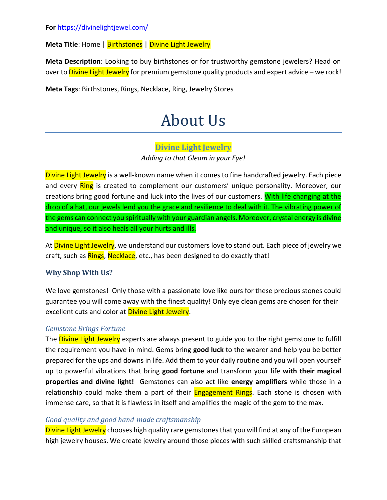**Meta Title**: Home | Birthstones | Divine Light Jewelry

**Meta Description**: Looking to buy birthstones or for trustworthy gemstone jewelers? Head on over to **Divine Light Jewelry** for premium gemstone quality products and expert advice – we rock!

**Meta Tags**: Birthstones, Rings, Necklace, Ring, Jewelry Stores

# About Us

#### **Divine Light Jewelry**

*Adding to that Gleam in your Eye!*

Divine Light Jewelry is a well-known name when it comes to fine handcrafted jewelry. Each piece and every Ring is created to complement our customers' unique personality. Moreover, our creations bring good fortune and luck into the lives of our customers. With life changing at the drop of a hat, our jewels lend you the grace and resilience to deal with it. The vibrating power of the gems can connect you spiritually with your guardian angels. Moreover, crystal energy is divine and unique, so it also heals all your hurts and ills.

At Divine Light Jewelry, we understand our customers love to stand out. Each piece of jewelry we craft, such as Rings, Necklace, etc., has been designed to do exactly that!

### **Why Shop With Us?**

We love gemstones! Only those with a passionate love like ours for these precious stones could guarantee you will come away with the finest quality! Only eye clean gems are chosen for their excellent cuts and color at Divine Light Jewelry.

#### *Gemstone Brings Fortune*

The **Divine Light Jewelry** experts are always present to guide you to the right gemstone to fulfill the requirement you have in mind. Gems bring **good luck** to the wearer and help you be better prepared for the ups and downs in life. Add them to your daily routine and you will open yourself up to powerful vibrations that bring **good fortune** and transform your life **with their magical properties and divine light!** Gemstones can also act like **energy amplifiers** while those in a relationship could make them a part of their **Engagement Rings**. Each stone is chosen with immense care, so that it is flawless in itself and amplifies the magic of the gem to the max.

#### *Good quality and good hand-made craftsmanship*

Divine Light Jewelry chooses high quality rare gemstones that you will find at any of the European high jewelry houses. We create jewelry around those pieces with such skilled craftsmanship that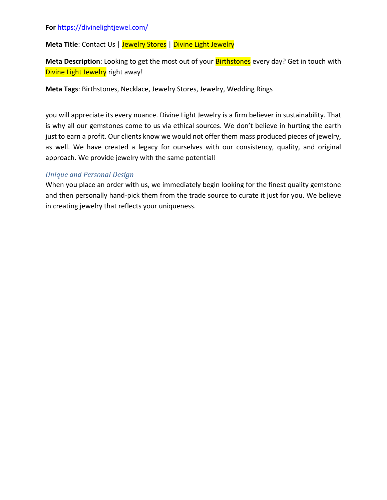#### **For** https://divinelightjewel.com/

**Meta Title:** Contact Us | Jewelry Stores | Divine Light Jewelry

Meta Description: Looking to get the most out of your **Birthstones** every day? Get in touch with Divine Light Jewelry right away!

**Meta Tags**: Birthstones, Necklace, Jewelry Stores, Jewelry, Wedding Rings

you will appreciate its every nuance. Divine Light Jewelry is a firm believer in sustainability. That is why all our gemstones come to us via ethical sources. We don't believe in hurting the earth just to earn a profit. Our clients know we would not offer them mass produced pieces of jewelry, as well. We have created a legacy for ourselves with our consistency, quality, and original approach. We provide jewelry with the same potential!

#### *Unique and Personal Design*

When you place an order with us, we immediately begin looking for the finest quality gemstone and then personally hand-pick them from the trade source to curate it just for you. We believe in creating jewelry that reflects your uniqueness.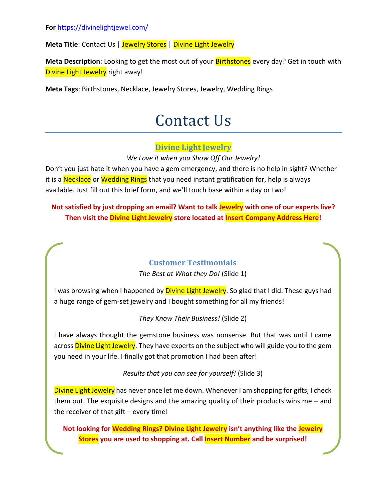**Meta Title:** Contact Us | Jewelry Stores | Divine Light Jewelry

**Meta Description**: Looking to get the most out of your Birthstones every day? Get in touch with Divine Light Jewelry right away!

**Meta Tags**: Birthstones, Necklace, Jewelry Stores, Jewelry, Wedding Rings

## Contact Us

## **Divine Light Jewelry**

*We Love it when you Show Off Our Jewelry!*

Don't you just hate it when you have a gem emergency, and there is no help in sight? Whether it is a **Necklace** or **Wedding Rings** that you need instant gratification for, help is always available. Just fill out this brief form, and we'll touch base within a day or two!

## **Not satisfied by just dropping an email? Want to talk Jewelry with one of our experts live? Then visit the Divine Light Jewelry store located at Insert Company Address Here!**

## **Customer Testimonials**

*The Best at What they Do!* (Slide 1)

I was browsing when I happened by **Divine Light Jewelry**. So glad that I did. These guys had a huge range of gem-set jewelry and I bought something for all my friends!

*They Know Their Business!* (Slide 2)

I have always thought the gemstone business was nonsense. But that was until I came across **Divine Light Jewelry**. They have experts on the subject who will guide you to the gem you need in your life. I finally got that promotion I had been after!

*Results that you can see for yourself!* (Slide 3)

Divine Light Jewelry has never once let me down. Whenever I am shopping for gifts, I check them out. The exquisite designs and the amazing quality of their products wins me – and the receiver of that gift – every time!

**Not looking for Wedding Rings? Divine Light Jewelry isn't anything like the Jewelry Stores you are used to shopping at. Call Insert Number and be surprised!**